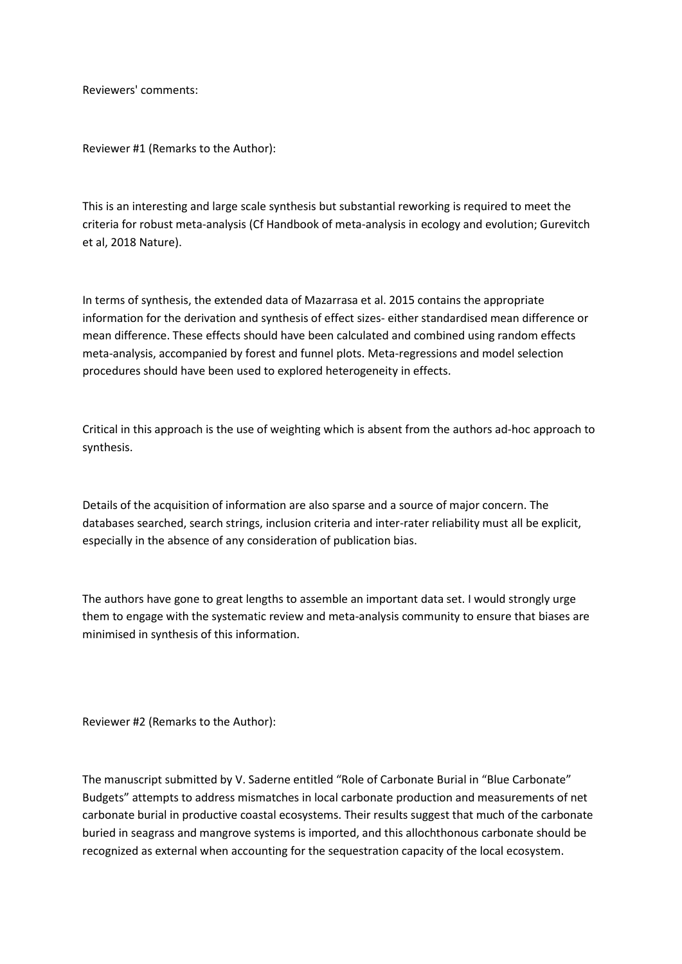Reviewers' comments:

Reviewer #1 (Remarks to the Author):

This is an interesting and large scale synthesis but substantial reworking is required to meet the criteria for robust meta-analysis (Cf Handbook of meta-analysis in ecology and evolution; Gurevitch et al, 2018 Nature).

In terms of synthesis, the extended data of Mazarrasa et al. 2015 contains the appropriate information for the derivation and synthesis of effect sizes- either standardised mean difference or mean difference. These effects should have been calculated and combined using random effects meta-analysis, accompanied by forest and funnel plots. Meta-regressions and model selection procedures should have been used to explored heterogeneity in effects.

Critical in this approach is the use of weighting which is absent from the authors ad-hoc approach to synthesis.

Details of the acquisition of information are also sparse and a source of major concern. The databases searched, search strings, inclusion criteria and inter-rater reliability must all be explicit, especially in the absence of any consideration of publication bias.

The authors have gone to great lengths to assemble an important data set. I would strongly urge them to engage with the systematic review and meta-analysis community to ensure that biases are minimised in synthesis of this information.

Reviewer #2 (Remarks to the Author):

The manuscript submitted by V. Saderne entitled "Role of Carbonate Burial in "Blue Carbonate" Budgets" attempts to address mismatches in local carbonate production and measurements of net carbonate burial in productive coastal ecosystems. Their results suggest that much of the carbonate buried in seagrass and mangrove systems is imported, and this allochthonous carbonate should be recognized as external when accounting for the sequestration capacity of the local ecosystem.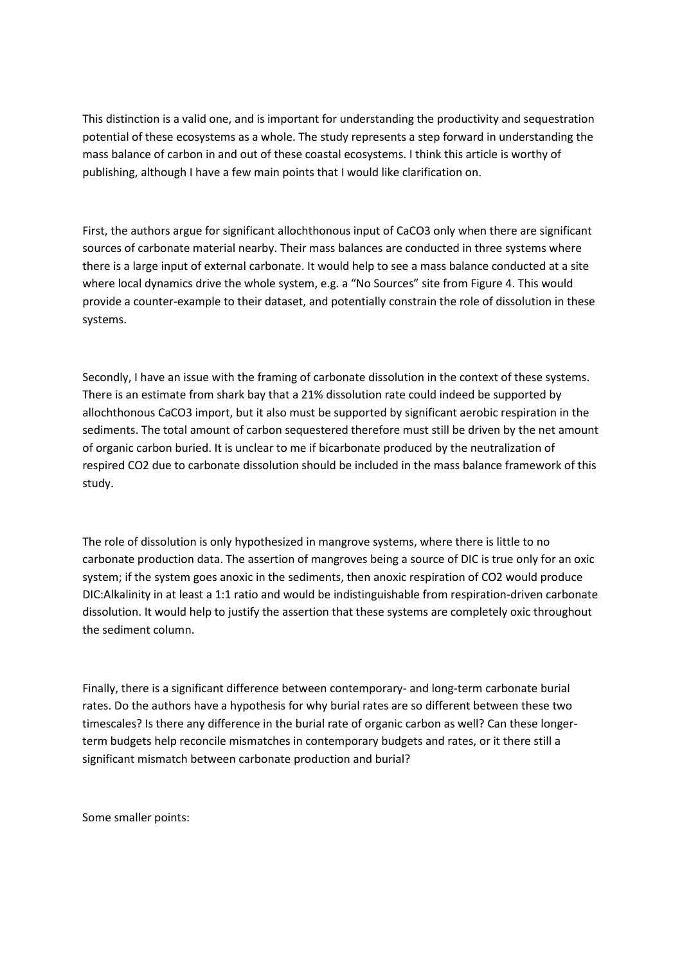This distinction is a valid one, and is important for understanding the productivity and sequestration potential of these ecosystems as a whole. The study represents a step forward in understanding the mass balance of carbon in and out of these coastal ecosystems. I think this article is worthy of publishing, although I have a few main points that I would like clarification on.

First, the authors argue for significant allochthonous input of CaCO3 only when there are significant sources of carbonate material nearby. Their mass balances are conducted in three systems where there is a large input of external carbonate. It would help to see a mass balance conducted at a site where local dynamics drive the whole system, e.g. a "No Sources" site from Figure 4. This would provide a counter-example to their dataset, and potentially constrain the role of dissolution in these systems.

Secondly, I have an issue with the framing of carbonate dissolution in the context of these systems. There is an estimate from shark bay that a 21% dissolution rate could indeed be supported by allochthonous CaCO3 import, but it also must be supported by significant aerobic respiration in the sediments. The total amount of carbon sequestered therefore must still be driven by the net amount of organic carbon buried. It is unclear to me if bicarbonate produced by the neutralization of respired CO2 due to carbonate dissolution should be included in the mass balance framework of this study.

The role of dissolution is only hypothesized in mangrove systems, where there is little to no carbonate production data. The assertion of mangroves being a source of DIC is true only for an oxic system; if the system goes anoxic in the sediments, then anoxic respiration of CO2 would produce DIC:Alkalinity in at least a 1:1 ratio and would be indistinguishable from respiration-driven carbonate dissolution. It would help to justify the assertion that these systems are completely oxic throughout the sediment column.

Finally, there is a significant difference between contemporary- and long-term carbonate burial rates. Do the authors have a hypothesis for why burial rates are so different between these two timescales? Is there any difference in the burial rate of organic carbon as well? Can these longerterm budgets help reconcile mismatches in contemporary budgets and rates, or it there still a significant mismatch between carbonate production and burial?

Some smaller points: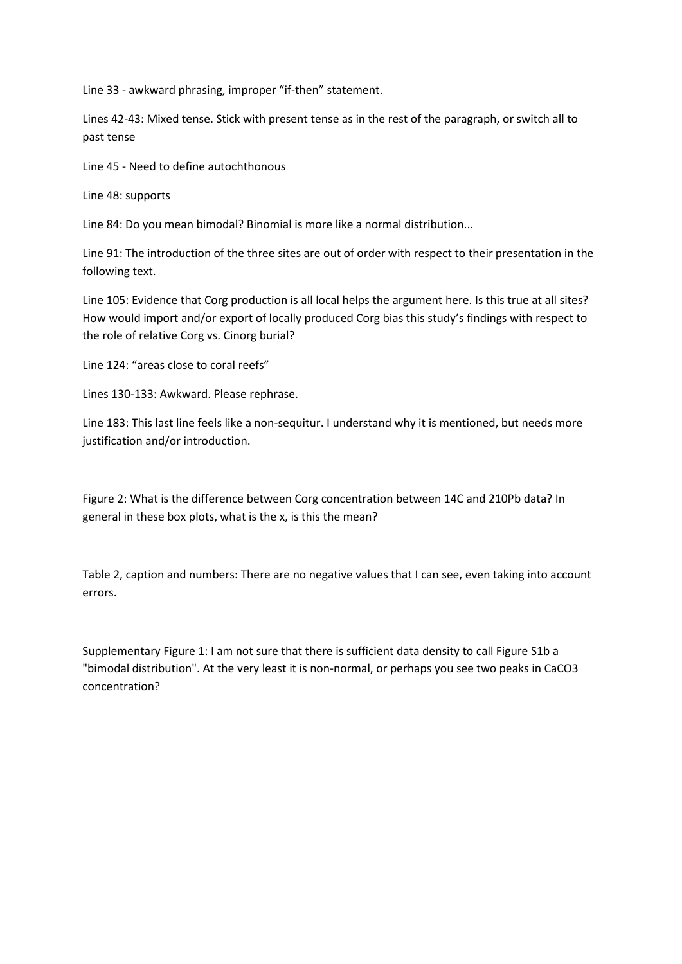Line 33 - awkward phrasing, improper "if-then" statement.

Lines 42-43: Mixed tense. Stick with present tense as in the rest of the paragraph, or switch all to past tense

Line 45 - Need to define autochthonous

Line 48: supports

Line 84: Do you mean bimodal? Binomial is more like a normal distribution...

Line 91: The introduction of the three sites are out of order with respect to their presentation in the following text.

Line 105: Evidence that Corg production is all local helps the argument here. Is this true at all sites? How would import and/or export of locally produced Corg bias this study's findings with respect to the role of relative Corg vs. Cinorg burial?

Line 124: "areas close to coral reefs"

Lines 130-133: Awkward. Please rephrase.

Line 183: This last line feels like a non-sequitur. I understand why it is mentioned, but needs more justification and/or introduction.

Figure 2: What is the difference between Corg concentration between 14C and 210Pb data? In general in these box plots, what is the x, is this the mean?

Table 2, caption and numbers: There are no negative values that I can see, even taking into account errors.

Supplementary Figure 1: I am not sure that there is sufficient data density to call Figure S1b a "bimodal distribution". At the very least it is non-normal, or perhaps you see two peaks in CaCO3 concentration?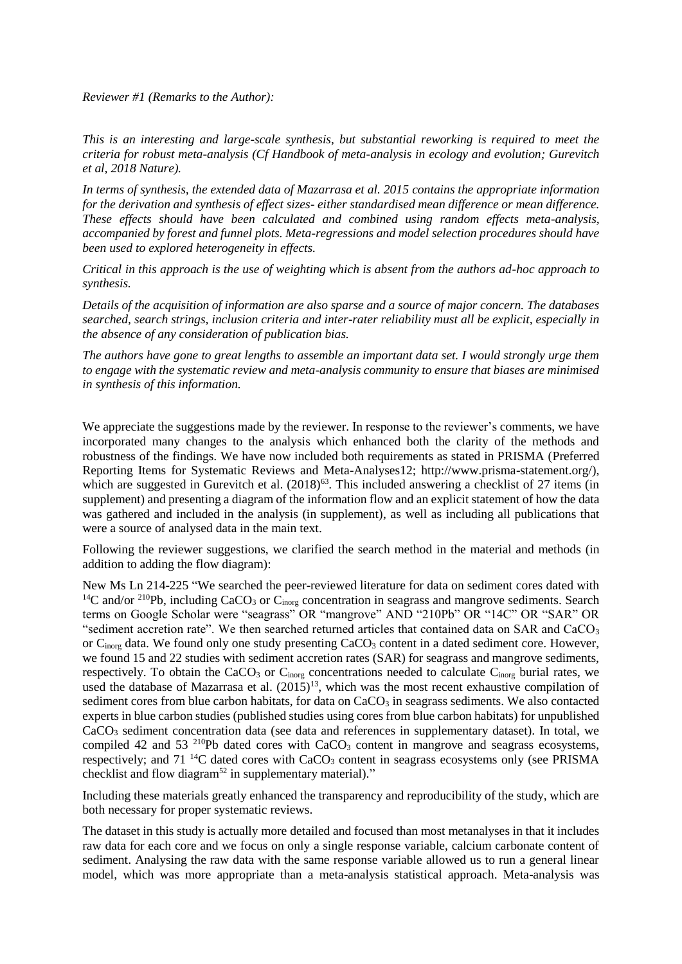*Reviewer #1 (Remarks to the Author):*

*This is an interesting and large-scale synthesis, but substantial reworking is required to meet the criteria for robust meta-analysis (Cf Handbook of meta-analysis in ecology and evolution; Gurevitch et al, 2018 Nature).*

*In terms of synthesis, the extended data of Mazarrasa et al. 2015 contains the appropriate information for the derivation and synthesis of effect sizes- either standardised mean difference or mean difference. These effects should have been calculated and combined using random effects meta-analysis, accompanied by forest and funnel plots. Meta-regressions and model selection procedures should have been used to explored heterogeneity in effects.*

*Critical in this approach is the use of weighting which is absent from the authors ad-hoc approach to synthesis.*

*Details of the acquisition of information are also sparse and a source of major concern. The databases searched, search strings, inclusion criteria and inter-rater reliability must all be explicit, especially in the absence of any consideration of publication bias.*

*The authors have gone to great lengths to assemble an important data set. I would strongly urge them to engage with the systematic review and meta-analysis community to ensure that biases are minimised in synthesis of this information.*

We appreciate the suggestions made by the reviewer. In response to the reviewer's comments, we have incorporated many changes to the analysis which enhanced both the clarity of the methods and robustness of the findings. We have now included both requirements as stated in PRISMA (Preferred Reporting Items for Systematic Reviews and Meta-Analyses12; http://www.prisma-statement.org/), which are suggested in Gurevitch et al.  $(2018)^{63}$ . This included answering a checklist of 27 items (in supplement) and presenting a diagram of the information flow and an explicit statement of how the data was gathered and included in the analysis (in supplement), as well as including all publications that were a source of analysed data in the main text.

Following the reviewer suggestions, we clarified the search method in the material and methods (in addition to adding the flow diagram):

New Ms Ln 214-225 "We searched the peer-reviewed literature for data on sediment cores dated with <sup>14</sup>C and/or <sup>210</sup>Pb, including CaCO<sub>3</sub> or C<sub>inorg</sub> concentration in seagrass and mangrove sediments. Search terms on Google Scholar were "seagrass" OR "mangrove" AND "210Pb" OR "14C" OR "SAR" OR "sediment accretion rate". We then searched returned articles that contained data on SAR and  $CaCO<sub>3</sub>$ or C<sub>inorg</sub> data. We found only one study presenting CaCO<sub>3</sub> content in a dated sediment core. However, we found 15 and 22 studies with sediment accretion rates (SAR) for seagrass and mangrove sediments, respectively. To obtain the CaCO<sub>3</sub> or C<sub>inorg</sub> concentrations needed to calculate C<sub>inorg</sub> burial rates, we used the database of Mazarrasa et al.  $(2015)^{13}$ , which was the most recent exhaustive compilation of sediment cores from blue carbon habitats, for data on  $CaCO<sub>3</sub>$  in seagrass sediments. We also contacted experts in blue carbon studies (published studies using cores from blue carbon habitats) for unpublished CaCO<sup>3</sup> sediment concentration data (see data and references in supplementary dataset). In total, we compiled 42 and 53  $^{210}Pb$  dated cores with CaCO<sub>3</sub> content in mangrove and seagrass ecosystems, respectively; and  $71^{14}$ C dated cores with CaCO<sub>3</sub> content in seagrass ecosystems only (see PRISMA checklist and flow diagram<sup>52</sup> in supplementary material)."

Including these materials greatly enhanced the transparency and reproducibility of the study, which are both necessary for proper systematic reviews.

The dataset in this study is actually more detailed and focused than most metanalyses in that it includes raw data for each core and we focus on only a single response variable, calcium carbonate content of sediment. Analysing the raw data with the same response variable allowed us to run a general linear model, which was more appropriate than a meta-analysis statistical approach. Meta-analysis was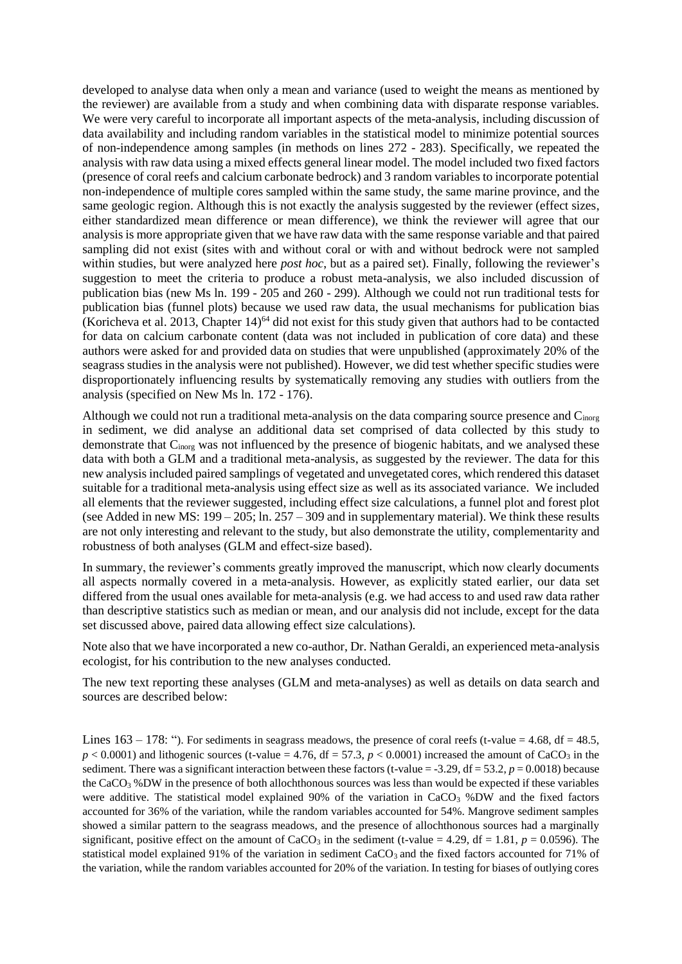developed to analyse data when only a mean and variance (used to weight the means as mentioned by the reviewer) are available from a study and when combining data with disparate response variables. We were very careful to incorporate all important aspects of the meta-analysis, including discussion of data availability and including random variables in the statistical model to minimize potential sources of non-independence among samples (in methods on lines 272 - 283). Specifically, we repeated the analysis with raw data using a mixed effects general linear model. The model included two fixed factors (presence of coral reefs and calcium carbonate bedrock) and 3 random variables to incorporate potential non-independence of multiple cores sampled within the same study, the same marine province, and the same geologic region. Although this is not exactly the analysis suggested by the reviewer (effect sizes, either standardized mean difference or mean difference), we think the reviewer will agree that our analysis is more appropriate given that we have raw data with the same response variable and that paired sampling did not exist (sites with and without coral or with and without bedrock were not sampled within studies, but were analyzed here *post hoc*, but as a paired set). Finally, following the reviewer's suggestion to meet the criteria to produce a robust meta-analysis, we also included discussion of publication bias (new Ms ln. 199 - 205 and 260 - 299). Although we could not run traditional tests for publication bias (funnel plots) because we used raw data, the usual mechanisms for publication bias (Koricheva et al. 2013, Chapter 14)<sup>64</sup> did not exist for this study given that authors had to be contacted for data on calcium carbonate content (data was not included in publication of core data) and these authors were asked for and provided data on studies that were unpublished (approximately 20% of the seagrass studies in the analysis were not published). However, we did test whether specific studies were disproportionately influencing results by systematically removing any studies with outliers from the analysis (specified on New Ms ln. 172 - 176).

Although we could not run a traditional meta-analysis on the data comparing source presence and C<sub>inorg</sub> in sediment, we did analyse an additional data set comprised of data collected by this study to demonstrate that C<sub>inorg</sub> was not influenced by the presence of biogenic habitats, and we analysed these data with both a GLM and a traditional meta-analysis, as suggested by the reviewer. The data for this new analysis included paired samplings of vegetated and unvegetated cores, which rendered this dataset suitable for a traditional meta-analysis using effect size as well as its associated variance. We included all elements that the reviewer suggested, including effect size calculations, a funnel plot and forest plot (see Added in new MS:  $199 - 205$ ; ln.  $257 - 309$  and in supplementary material). We think these results are not only interesting and relevant to the study, but also demonstrate the utility, complementarity and robustness of both analyses (GLM and effect-size based).

In summary, the reviewer's comments greatly improved the manuscript, which now clearly documents all aspects normally covered in a meta-analysis. However, as explicitly stated earlier, our data set differed from the usual ones available for meta-analysis (e.g. we had access to and used raw data rather than descriptive statistics such as median or mean, and our analysis did not include, except for the data set discussed above, paired data allowing effect size calculations).

Note also that we have incorporated a new co-author, Dr. Nathan Geraldi, an experienced meta-analysis ecologist, for his contribution to the new analyses conducted.

The new text reporting these analyses (GLM and meta-analyses) as well as details on data search and sources are described below:

Lines  $163 - 178$ : "). For sediments in seagrass meadows, the presence of coral reefs (t-value = 4.68, df = 48.5,  $p < 0.0001$ ) and lithogenic sources (t-value = 4.76, df = 57.3,  $p < 0.0001$ ) increased the amount of CaCO<sub>3</sub> in the sediment. There was a significant interaction between these factors (t-value  $=$  -3.29, df  $=$  53.2,  $p = 0.0018$ ) because the CaCO<sup>3</sup> %DW in the presence of both allochthonous sources was less than would be expected if these variables were additive. The statistical model explained 90% of the variation in  $CaCO<sub>3</sub>$  %DW and the fixed factors accounted for 36% of the variation, while the random variables accounted for 54%. Mangrove sediment samples showed a similar pattern to the seagrass meadows, and the presence of allochthonous sources had a marginally significant, positive effect on the amount of CaCO<sub>3</sub> in the sediment (t-value = 4.29, df = 1.81,  $p = 0.0596$ ). The statistical model explained 91% of the variation in sediment  $CaCO<sub>3</sub>$  and the fixed factors accounted for 71% of the variation, while the random variables accounted for 20% of the variation. In testing for biases of outlying cores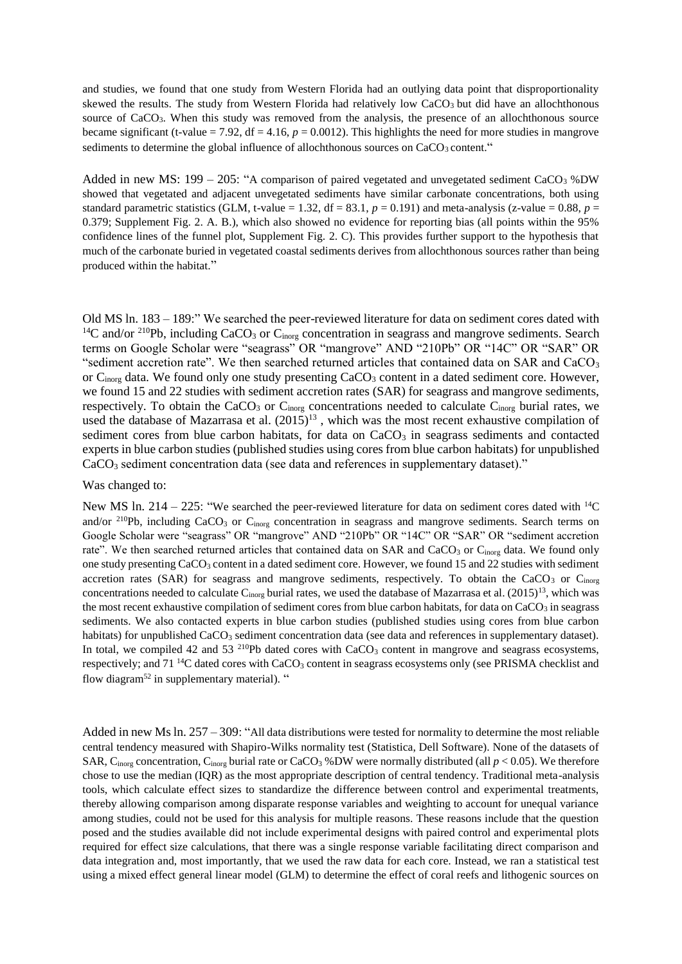and studies, we found that one study from Western Florida had an outlying data point that disproportionality skewed the results. The study from Western Florida had relatively low  $CaCO<sub>3</sub>$  but did have an allochthonous source of CaCO<sub>3</sub>. When this study was removed from the analysis, the presence of an allochthonous source became significant (t-value = 7.92,  $df = 4.16$ ,  $p = 0.0012$ ). This highlights the need for more studies in mangrove sediments to determine the global influence of allochthonous sources on  $CaCO<sub>3</sub>$  content."

Added in new MS:  $199 - 205$ : "A comparison of paired vegetated and unvegetated sediment CaCO<sub>3</sub> %DW showed that vegetated and adjacent unvegetated sediments have similar carbonate concentrations, both using standard parametric statistics (GLM, t-value = 1.32, df = 83.1,  $p = 0.191$ ) and meta-analysis (z-value = 0.88,  $p =$ 0.379; Supplement Fig. 2. A. B.), which also showed no evidence for reporting bias (all points within the 95% confidence lines of the funnel plot, Supplement Fig. 2. C). This provides further support to the hypothesis that much of the carbonate buried in vegetated coastal sediments derives from allochthonous sources rather than being produced within the habitat."

Old MS ln. 183 – 189:" We searched the peer-reviewed literature for data on sediment cores dated with <sup>14</sup>C and/or <sup>210</sup>Pb, including CaCO<sub>3</sub> or C<sub>inorg</sub> concentration in seagrass and mangrove sediments. Search terms on Google Scholar were "seagrass" OR "mangrove" AND "210Pb" OR "14C" OR "SAR" OR "sediment accretion rate". We then searched returned articles that contained data on SAR and CaCO<sub>3</sub> or  $C_{\text{inore}}$  data. We found only one study presenting  $CaCO<sub>3</sub>$  content in a dated sediment core. However, we found 15 and 22 studies with sediment accretion rates (SAR) for seagrass and mangrove sediments, respectively. To obtain the CaCO<sub>3</sub> or C<sub>inorg</sub> concentrations needed to calculate C<sub>inorg</sub> burial rates, we used the database of Mazarrasa et al.  $(2015)^{13}$ , which was the most recent exhaustive compilation of sediment cores from blue carbon habitats, for data on  $CaCO<sub>3</sub>$  in seagrass sediments and contacted experts in blue carbon studies (published studies using cores from blue carbon habitats) for unpublished CaCO<sup>3</sup> sediment concentration data (see data and references in supplementary dataset)."

#### Was changed to:

New MS ln. 214 – 225: "We searched the peer-reviewed literature for data on sediment cores dated with <sup>14</sup>C and/or  $^{210}Pb$ , including CaCO<sub>3</sub> or C<sub>inorg</sub> concentration in seagrass and mangrove sediments. Search terms on Google Scholar were "seagrass" OR "mangrove" AND "210Pb" OR "14C" OR "SAR" OR "sediment accretion rate". We then searched returned articles that contained data on SAR and CaCO<sub>3</sub> or C<sub>inorg</sub> data. We found only one study presenting CaCO<sup>3</sup> content in a dated sediment core. However, we found 15 and 22 studies with sediment accretion rates (SAR) for seagrass and mangrove sediments, respectively. To obtain the CaCO<sub>3</sub> or C<sub>inorg</sub> concentrations needed to calculate  $C_{\text{inorg}}$  burial rates, we used the database of Mazarrasa et al. (2015)<sup>13</sup>, which was the most recent exhaustive compilation of sediment cores from blue carbon habitats, for data on  $CaCO<sub>3</sub>$  in seagrass sediments. We also contacted experts in blue carbon studies (published studies using cores from blue carbon habitats) for unpublished  $CaCO<sub>3</sub>$  sediment concentration data (see data and references in supplementary dataset). In total, we compiled 42 and 53  $^{210}Pb$  dated cores with CaCO<sub>3</sub> content in mangrove and seagrass ecosystems, respectively; and 71<sup>14</sup>C dated cores with CaCO<sub>3</sub> content in seagrass ecosystems only (see PRISMA checklist and flow diagram<sup>52</sup> in supplementary material). "

Added in new Ms ln. 257 – 309: "All data distributions were tested for normality to determine the most reliable central tendency measured with Shapiro-Wilks normality test (Statistica, Dell Software). None of the datasets of SAR, C<sub>inorg</sub> concentration, C<sub>inorg</sub> burial rate or CaCO<sub>3</sub> %DW were normally distributed (all  $p < 0.05$ ). We therefore chose to use the median (IQR) as the most appropriate description of central tendency. Traditional meta-analysis tools, which calculate effect sizes to standardize the difference between control and experimental treatments, thereby allowing comparison among disparate response variables and weighting to account for unequal variance among studies, could not be used for this analysis for multiple reasons. These reasons include that the question posed and the studies available did not include experimental designs with paired control and experimental plots required for effect size calculations, that there was a single response variable facilitating direct comparison and data integration and, most importantly, that we used the raw data for each core. Instead, we ran a statistical test using a mixed effect general linear model (GLM) to determine the effect of coral reefs and lithogenic sources on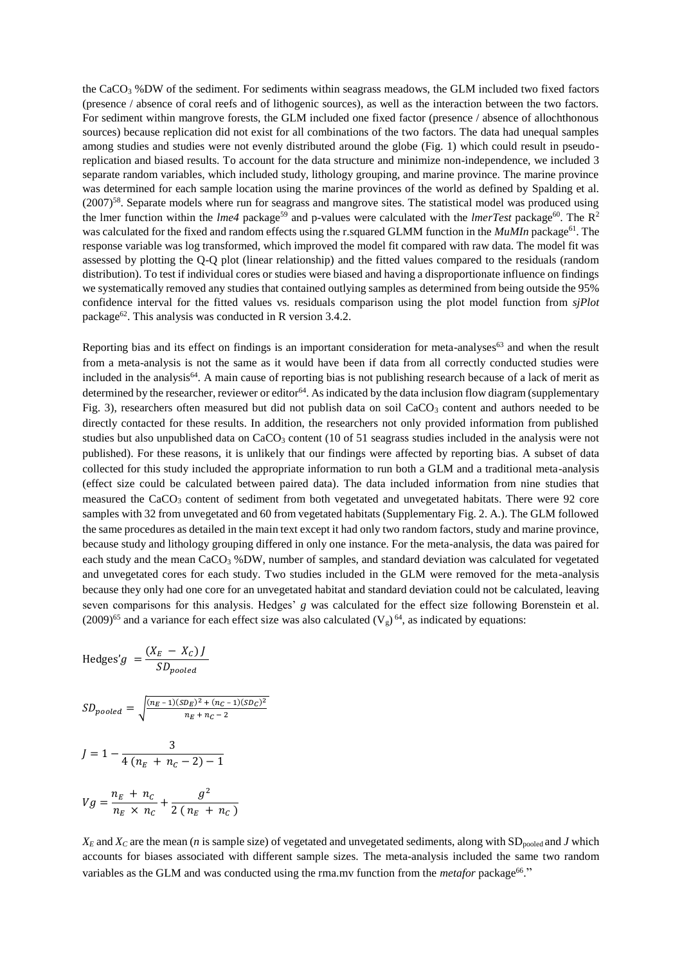the CaCO<sup>3</sup> %DW of the sediment. For sediments within seagrass meadows, the GLM included two fixed factors (presence / absence of coral reefs and of lithogenic sources), as well as the interaction between the two factors. For sediment within mangrove forests, the GLM included one fixed factor (presence / absence of allochthonous sources) because replication did not exist for all combinations of the two factors. The data had unequal samples among studies and studies were not evenly distributed around the globe (Fig. 1) which could result in pseudoreplication and biased results. To account for the data structure and minimize non-independence, we included 3 separate random variables, which included study, lithology grouping, and marine province. The marine province was determined for each sample location using the marine provinces of the world as defined by Spalding et al. (2007)<sup>58</sup>. Separate models where run for seagrass and mangrove sites. The statistical model was produced using the lmer function within the *lme4* package<sup>59</sup> and p-values were calculated with the *lmerTest* package<sup>60</sup>. The R<sup>2</sup> was calculated for the fixed and random effects using the r.squared GLMM function in the *MuMIn* package<sup>61</sup>. The response variable was log transformed, which improved the model fit compared with raw data. The model fit was assessed by plotting the Q-Q plot (linear relationship) and the fitted values compared to the residuals (random distribution). To test if individual cores or studies were biased and having a disproportionate influence on findings we systematically removed any studies that contained outlying samples as determined from being outside the 95% confidence interval for the fitted values vs. residuals comparison using the plot model function from *sjPlot* package<sup>62</sup>. This analysis was conducted in R version 3.4.2.

Reporting bias and its effect on findings is an important consideration for meta-analyses<sup>63</sup> and when the result from a meta-analysis is not the same as it would have been if data from all correctly conducted studies were included in the analysis<sup>64</sup>. A main cause of reporting bias is not publishing research because of a lack of merit as determined by the researcher, reviewer or editor<sup>64</sup>. As indicated by the data inclusion flow diagram (supplementary Fig. 3), researchers often measured but did not publish data on soil CaCO<sub>3</sub> content and authors needed to be directly contacted for these results. In addition, the researchers not only provided information from published studies but also unpublished data on  $CaCO<sub>3</sub>$  content (10 of 51 seagrass studies included in the analysis were not published). For these reasons, it is unlikely that our findings were affected by reporting bias. A subset of data collected for this study included the appropriate information to run both a GLM and a traditional meta-analysis (effect size could be calculated between paired data). The data included information from nine studies that measured the CaCO<sub>3</sub> content of sediment from both vegetated and unvegetated habitats. There were 92 core samples with 32 from unvegetated and 60 from vegetated habitats (Supplementary Fig. 2. A.). The GLM followed the same procedures as detailed in the main text except it had only two random factors, study and marine province, because study and lithology grouping differed in only one instance. For the meta-analysis, the data was paired for each study and the mean  $CaCO<sub>3</sub>$ %DW, number of samples, and standard deviation was calculated for vegetated and unvegetated cores for each study. Two studies included in the GLM were removed for the meta-analysis because they only had one core for an unvegetated habitat and standard deviation could not be calculated, leaving seven comparisons for this analysis. Hedges' *g* was calculated for the effect size following Borenstein et al. (2009)<sup>65</sup> and a variance for each effect size was also calculated (V<sub>g</sub>)<sup>64</sup>, as indicated by equations:

Hedges'g = 
$$
\frac{(X_E - X_C) J}{SD_{pooled}}
$$

$$
SD_{pooled} = \sqrt{\frac{(n_E - 1)(SD_E)^2 + (n_C - 1)(SD_C)^2}{n_E + n_C - 2}}
$$

$$
J = 1 - \frac{3}{4(n_E + n_C - 2) - 1}
$$

$$
Vg = \frac{n_E + n_C}{n_E \times n_C} + \frac{g^2}{2(n_E + n_C)}
$$

 $X_E$  and  $X_C$  are the mean (*n* is sample size) of vegetated and unvegetated sediments, along with SD<sub>pooled</sub> and *J* which accounts for biases associated with different sample sizes. The meta-analysis included the same two random variables as the GLM and was conducted using the rma.mv function from the *metafor* package<sup>66</sup>."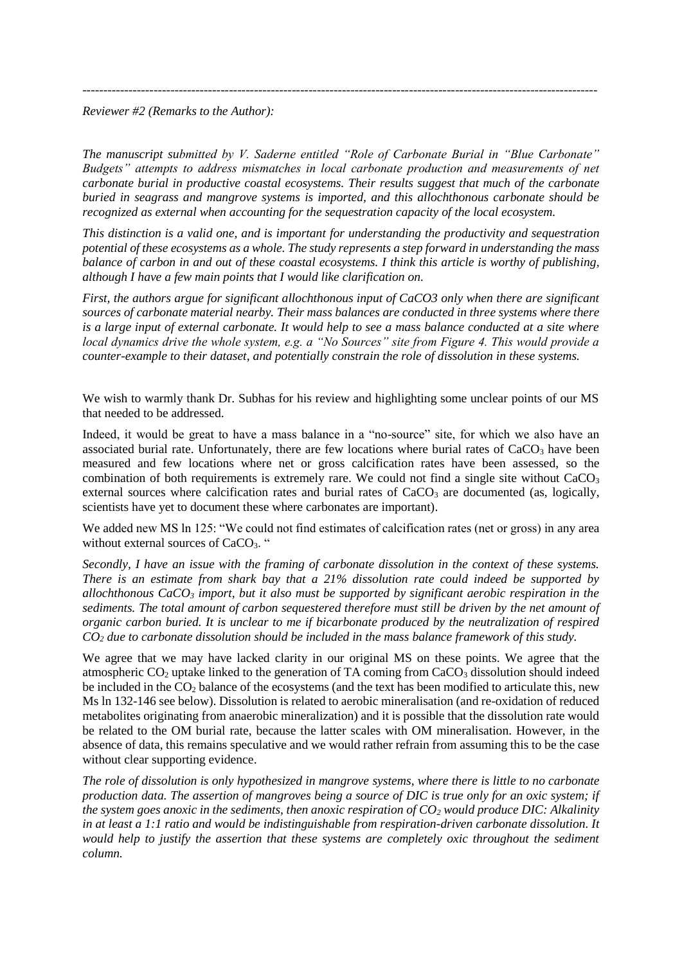---------------------------------------------------------------------------------------------------------------------------

### *Reviewer #2 (Remarks to the Author):*

*The manuscript submitted by V. Saderne entitled "Role of Carbonate Burial in "Blue Carbonate" Budgets" attempts to address mismatches in local carbonate production and measurements of net carbonate burial in productive coastal ecosystems. Their results suggest that much of the carbonate buried in seagrass and mangrove systems is imported, and this allochthonous carbonate should be recognized as external when accounting for the sequestration capacity of the local ecosystem.* 

*This distinction is a valid one, and is important for understanding the productivity and sequestration potential of these ecosystems as a whole. The study represents a step forward in understanding the mass balance of carbon in and out of these coastal ecosystems. I think this article is worthy of publishing, although I have a few main points that I would like clarification on.*

*First, the authors argue for significant allochthonous input of CaCO3 only when there are significant sources of carbonate material nearby. Their mass balances are conducted in three systems where there is a large input of external carbonate. It would help to see a mass balance conducted at a site where local dynamics drive the whole system, e.g. a "No Sources" site from Figure 4. This would provide a counter-example to their dataset, and potentially constrain the role of dissolution in these systems.* 

We wish to warmly thank Dr. Subhas for his review and highlighting some unclear points of our MS that needed to be addressed.

Indeed, it would be great to have a mass balance in a "no-source" site, for which we also have an associated burial rate. Unfortunately, there are few locations where burial rates of  $CaCO<sub>3</sub>$  have been measured and few locations where net or gross calcification rates have been assessed, so the combination of both requirements is extremely rare. We could not find a single site without  $CaCO<sub>3</sub>$ external sources where calcification rates and burial rates of  $CaCO<sub>3</sub>$  are documented (as, logically, scientists have yet to document these where carbonates are important).

We added new MS ln 125: "We could not find estimates of calcification rates (net or gross) in any area without external sources of CaCO<sub>3</sub>. "

*Secondly, I have an issue with the framing of carbonate dissolution in the context of these systems. There is an estimate from shark bay that a 21% dissolution rate could indeed be supported by allochthonous CaCO<sup>3</sup> import, but it also must be supported by significant aerobic respiration in the sediments. The total amount of carbon sequestered therefore must still be driven by the net amount of organic carbon buried. It is unclear to me if bicarbonate produced by the neutralization of respired CO<sup>2</sup> due to carbonate dissolution should be included in the mass balance framework of this study.* 

We agree that we may have lacked clarity in our original MS on these points. We agree that the atmospheric  $CO<sub>2</sub>$  uptake linked to the generation of TA coming from  $CaCO<sub>3</sub>$  dissolution should indeed be included in the  $CO<sub>2</sub>$  balance of the ecosystems (and the text has been modified to articulate this, new Ms ln 132-146 see below). Dissolution is related to aerobic mineralisation (and re-oxidation of reduced metabolites originating from anaerobic mineralization) and it is possible that the dissolution rate would be related to the OM burial rate, because the latter scales with OM mineralisation. However, in the absence of data, this remains speculative and we would rather refrain from assuming this to be the case without clear supporting evidence.

*The role of dissolution is only hypothesized in mangrove systems, where there is little to no carbonate production data. The assertion of mangroves being a source of DIC is true only for an oxic system; if the system goes anoxic in the sediments, then anoxic respiration of CO<sup>2</sup> would produce DIC: Alkalinity in at least a 1:1 ratio and would be indistinguishable from respiration-driven carbonate dissolution. It would help to justify the assertion that these systems are completely oxic throughout the sediment column.*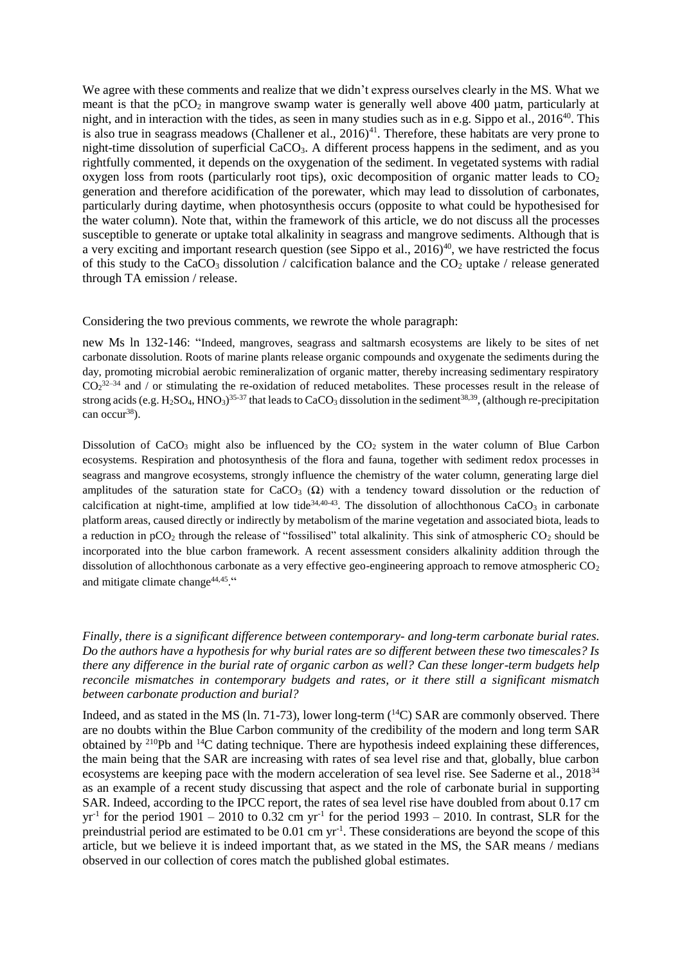We agree with these comments and realize that we didn't express ourselves clearly in the MS. What we meant is that the  $pCO<sub>2</sub>$  in mangrove swamp water is generally well above 400 µatm, particularly at night, and in interaction with the tides, as seen in many studies such as in e.g. Sippo et al.,  $2016^{40}$ . This is also true in seagrass meadows (Challener et al.,  $2016$ )<sup>41</sup>. Therefore, these habitats are very prone to night-time dissolution of superficial  $CaCO<sub>3</sub>$ . A different process happens in the sediment, and as you rightfully commented, it depends on the oxygenation of the sediment. In vegetated systems with radial oxygen loss from roots (particularly root tips), oxic decomposition of organic matter leads to  $CO<sub>2</sub>$ generation and therefore acidification of the porewater, which may lead to dissolution of carbonates, particularly during daytime, when photosynthesis occurs (opposite to what could be hypothesised for the water column). Note that, within the framework of this article, we do not discuss all the processes susceptible to generate or uptake total alkalinity in seagrass and mangrove sediments. Although that is a very exciting and important research question (see Sippo et al.,  $2016$ )<sup>40</sup>, we have restricted the focus of this study to the CaCO<sub>3</sub> dissolution / calcification balance and the  $CO<sub>2</sub>$  uptake / release generated through TA emission / release.

Considering the two previous comments, we rewrote the whole paragraph:

new Ms ln 132-146: "Indeed, mangroves, seagrass and saltmarsh ecosystems are likely to be sites of net carbonate dissolution. Roots of marine plants release organic compounds and oxygenate the sediments during the day, promoting microbial aerobic remineralization of organic matter, thereby increasing sedimentary respiratory  $CO<sub>2</sub><sup>32–34</sup>$  and / or stimulating the re-oxidation of reduced metabolites. These processes result in the release of strong acids (e.g.  $H_2SO_4$ ,  $HNO_3$ )<sup>35-37</sup> that leads to CaCO<sub>3</sub> dissolution in the sediment<sup>38,39</sup>, (although re-precipitation can occur<sup>38</sup>).

Dissolution of CaCO<sub>3</sub> might also be influenced by the  $CO<sub>2</sub>$  system in the water column of Blue Carbon ecosystems. Respiration and photosynthesis of the flora and fauna, together with sediment redox processes in seagrass and mangrove ecosystems, strongly influence the chemistry of the water column, generating large diel amplitudes of the saturation state for CaCO<sub>3</sub> ( $\Omega$ ) with a tendency toward dissolution or the reduction of calcification at night-time, amplified at low tide<sup>34,40-43</sup>. The dissolution of allochthonous CaCO<sub>3</sub> in carbonate platform areas, caused directly or indirectly by metabolism of the marine vegetation and associated biota, leads to a reduction in  $pCO<sub>2</sub>$  through the release of "fossilised" total alkalinity. This sink of atmospheric  $CO<sub>2</sub>$  should be incorporated into the blue carbon framework. A recent assessment considers alkalinity addition through the dissolution of allochthonous carbonate as a very effective geo-engineering approach to remove atmospheric CO<sub>2</sub> and mitigate climate change<sup>44,45</sup>."

*Finally, there is a significant difference between contemporary- and long-term carbonate burial rates. Do the authors have a hypothesis for why burial rates are so different between these two timescales? Is there any difference in the burial rate of organic carbon as well? Can these longer-term budgets help reconcile mismatches in contemporary budgets and rates, or it there still a significant mismatch between carbonate production and burial?*

Indeed, and as stated in the MS (ln. 71-73), lower long-term  $(^{14}C)$  SAR are commonly observed. There are no doubts within the Blue Carbon community of the credibility of the modern and long term SAR obtained by <sup>210</sup>Pb and <sup>14</sup>C dating technique. There are hypothesis indeed explaining these differences, the main being that the SAR are increasing with rates of sea level rise and that, globally, blue carbon ecosystems are keeping pace with the modern acceleration of sea level rise. See Saderne et al., 2018<sup>34</sup> as an example of a recent study discussing that aspect and the role of carbonate burial in supporting SAR. Indeed, according to the IPCC report, the rates of sea level rise have doubled from about 0.17 cm  $yr<sup>-1</sup>$  for the period 1901 – 2010 to 0.32 cm  $yr<sup>-1</sup>$  for the period 1993 – 2010. In contrast, SLR for the preindustrial period are estimated to be 0.01 cm yr<sup>-1</sup>. These considerations are beyond the scope of this article, but we believe it is indeed important that, as we stated in the MS, the SAR means / medians observed in our collection of cores match the published global estimates.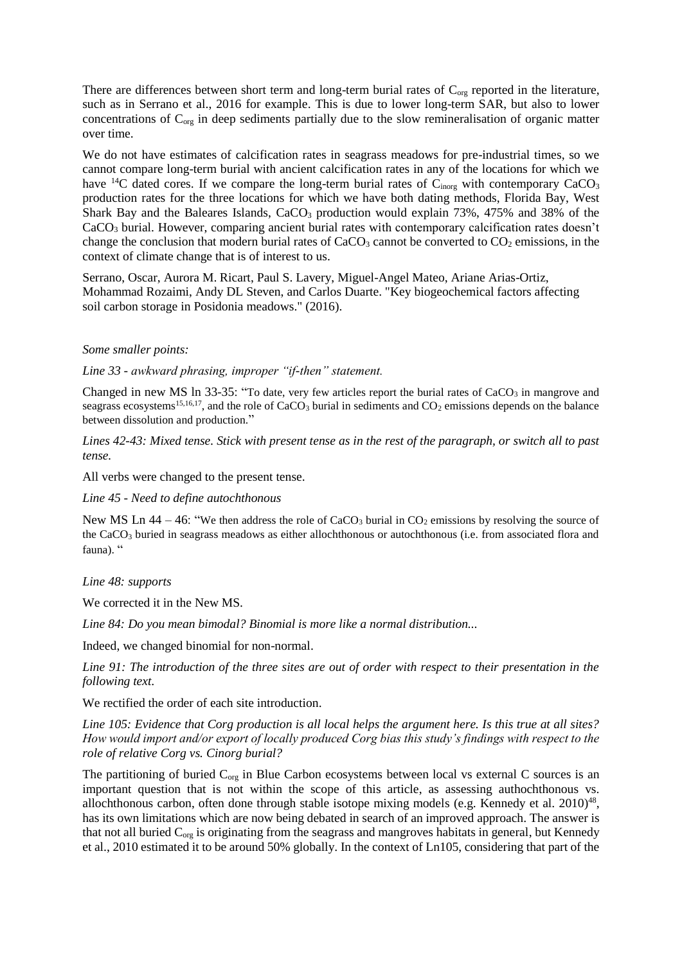There are differences between short term and long-term burial rates of  $C_{org}$  reported in the literature, such as in Serrano et al., 2016 for example. This is due to lower long-term SAR, but also to lower concentrations of  $C_{org}$  in deep sediments partially due to the slow remineralisation of organic matter over time.

We do not have estimates of calcification rates in seagrass meadows for pre-industrial times, so we cannot compare long-term burial with ancient calcification rates in any of the locations for which we have  ${}^{14}C$  dated cores. If we compare the long-term burial rates of  $C_{\text{inorg}}$  with contemporary  $CaCO<sub>3</sub>$ production rates for the three locations for which we have both dating methods, Florida Bay, West Shark Bay and the Baleares Islands,  $CaCO<sub>3</sub>$  production would explain 73%, 475% and 38% of the CaCO<sub>3</sub> burial. However, comparing ancient burial rates with contemporary calcification rates doesn't change the conclusion that modern burial rates of  $CaCO<sub>3</sub>$  cannot be converted to  $CO<sub>2</sub>$  emissions, in the context of climate change that is of interest to us.

Serrano, Oscar, Aurora M. Ricart, Paul S. Lavery, Miguel-Angel Mateo, Ariane Arias-Ortiz, Mohammad Rozaimi, Andy DL Steven, and Carlos Duarte. "Key biogeochemical factors affecting soil carbon storage in Posidonia meadows." (2016).

#### *Some smaller points:*

*Line 33 - awkward phrasing, improper "if-then" statement.* 

Changed in new MS ln  $33-35$ : "To date, very few articles report the burial rates of  $CaCO<sub>3</sub>$  in mangrove and seagrass ecosystems<sup>15,16,17</sup>, and the role of CaCO<sub>3</sub> burial in sediments and  $CO<sub>2</sub>$  emissions depends on the balance between dissolution and production."

*Lines 42-43: Mixed tense. Stick with present tense as in the rest of the paragraph, or switch all to past tense.*

All verbs were changed to the present tense.

*Line 45 - Need to define autochthonous*

New MS Ln  $44 - 46$ : "We then address the role of CaCO<sub>3</sub> burial in CO<sub>2</sub> emissions by resolving the source of the CaCO<sub>3</sub> buried in seagrass meadows as either allochthonous or autochthonous (i.e. from associated flora and fauna). "

*Line 48: supports*

We corrected it in the New MS.

*Line 84: Do you mean bimodal? Binomial is more like a normal distribution...*

Indeed, we changed binomial for non-normal.

*Line 91: The introduction of the three sites are out of order with respect to their presentation in the following text.* 

We rectified the order of each site introduction.

*Line 105: Evidence that Corg production is all local helps the argument here. Is this true at all sites? How would import and/or export of locally produced Corg bias this study's findings with respect to the role of relative Corg vs. Cinorg burial?* 

The partitioning of buried  $C_{org}$  in Blue Carbon ecosystems between local vs external C sources is an important question that is not within the scope of this article, as assessing authochthonous vs. allochthonous carbon, often done through stable isotope mixing models (e.g. Kennedy et al. 2010)<sup>48</sup>, has its own limitations which are now being debated in search of an improved approach. The answer is that not all buried C<sub>org</sub> is originating from the seagrass and mangroves habitats in general, but Kennedy et al., 2010 estimated it to be around 50% globally. In the context of Ln105, considering that part of the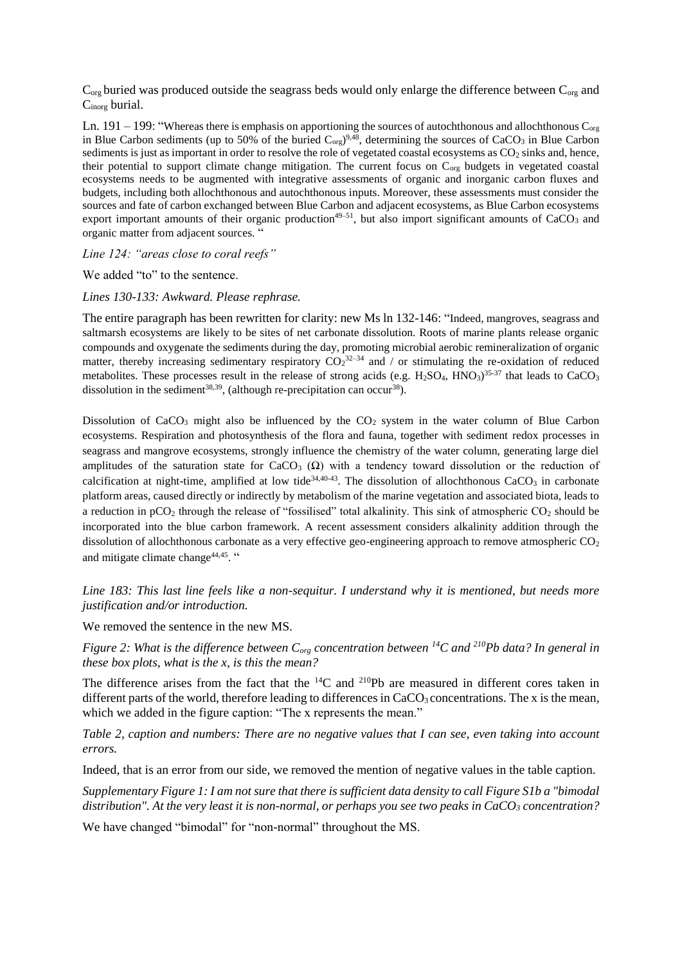$C_{org}$  buried was produced outside the seagrass beds would only enlarge the difference between  $C_{org}$  and Cinorg burial.

Ln. 191 – 199: "Whereas there is emphasis on apportioning the sources of autochthonous and allochthonous  $C_{\text{org}}$ in Blue Carbon sediments (up to 50% of the buried  $C_{org}$ )<sup>9,48</sup>, determining the sources of CaCO<sub>3</sub> in Blue Carbon sediments is just as important in order to resolve the role of vegetated coastal ecosystems as  $CO<sub>2</sub>$  sinks and, hence, their potential to support climate change mitigation. The current focus on Corg budgets in vegetated coastal ecosystems needs to be augmented with integrative assessments of organic and inorganic carbon fluxes and budgets, including both allochthonous and autochthonous inputs. Moreover, these assessments must consider the sources and fate of carbon exchanged between Blue Carbon and adjacent ecosystems, as Blue Carbon ecosystems export important amounts of their organic production<sup>49-51</sup>, but also import significant amounts of CaCO<sub>3</sub> and organic matter from adjacent sources. "

*Line 124: "areas close to coral reefs"*

We added "to" to the sentence.

*Lines 130-133: Awkward. Please rephrase.* 

The entire paragraph has been rewritten for clarity: new Ms ln 132-146: "Indeed, mangroves, seagrass and saltmarsh ecosystems are likely to be sites of net carbonate dissolution. Roots of marine plants release organic compounds and oxygenate the sediments during the day, promoting microbial aerobic remineralization of organic matter, thereby increasing sedimentary respiratory  $CO_2^{32-34}$  and / or stimulating the re-oxidation of reduced metabolites. These processes result in the release of strong acids (e.g.  $H_2SO_4$ ,  $HNO_3$ )<sup>35-37</sup> that leads to CaCO<sub>3</sub> dissolution in the sediment<sup>38,39</sup>, (although re-precipitation can occur<sup>38</sup>).

Dissolution of CaCO<sub>3</sub> might also be influenced by the  $CO<sub>2</sub>$  system in the water column of Blue Carbon ecosystems. Respiration and photosynthesis of the flora and fauna, together with sediment redox processes in seagrass and mangrove ecosystems, strongly influence the chemistry of the water column, generating large diel amplitudes of the saturation state for CaCO<sub>3</sub> ( $\Omega$ ) with a tendency toward dissolution or the reduction of calcification at night-time, amplified at low tide<sup>34,40-43</sup>. The dissolution of allochthonous CaCO<sub>3</sub> in carbonate platform areas, caused directly or indirectly by metabolism of the marine vegetation and associated biota, leads to a reduction in  $pCO<sub>2</sub>$  through the release of "fossilised" total alkalinity. This sink of atmospheric  $CO<sub>2</sub>$  should be incorporated into the blue carbon framework. A recent assessment considers alkalinity addition through the dissolution of allochthonous carbonate as a very effective geo-engineering approach to remove atmospheric  $CO<sub>2</sub>$ and mitigate climate change<sup>44,45</sup>."

*Line 183: This last line feels like a non-sequitur. I understand why it is mentioned, but needs more justification and/or introduction.* 

We removed the sentence in the new MS.

*Figure 2: What is the difference between Corg concentration between <sup>14</sup>C and <sup>210</sup>Pb data? In general in these box plots, what is the x, is this the mean?* 

The difference arises from the fact that the <sup>14</sup>C and <sup>210</sup>Pb are measured in different cores taken in different parts of the world, therefore leading to differences in  $CaCO<sub>3</sub>$  concentrations. The x is the mean, which we added in the figure caption: "The x represents the mean."

*Table 2, caption and numbers: There are no negative values that I can see, even taking into account errors.* 

Indeed, that is an error from our side, we removed the mention of negative values in the table caption.

*Supplementary Figure 1: I am not sure that there is sufficient data density to call Figure S1b a "bimodal distribution". At the very least it is non-normal, or perhaps you see two peaks in CaCO<sup>3</sup> concentration?* 

We have changed "bimodal" for "non-normal" throughout the MS.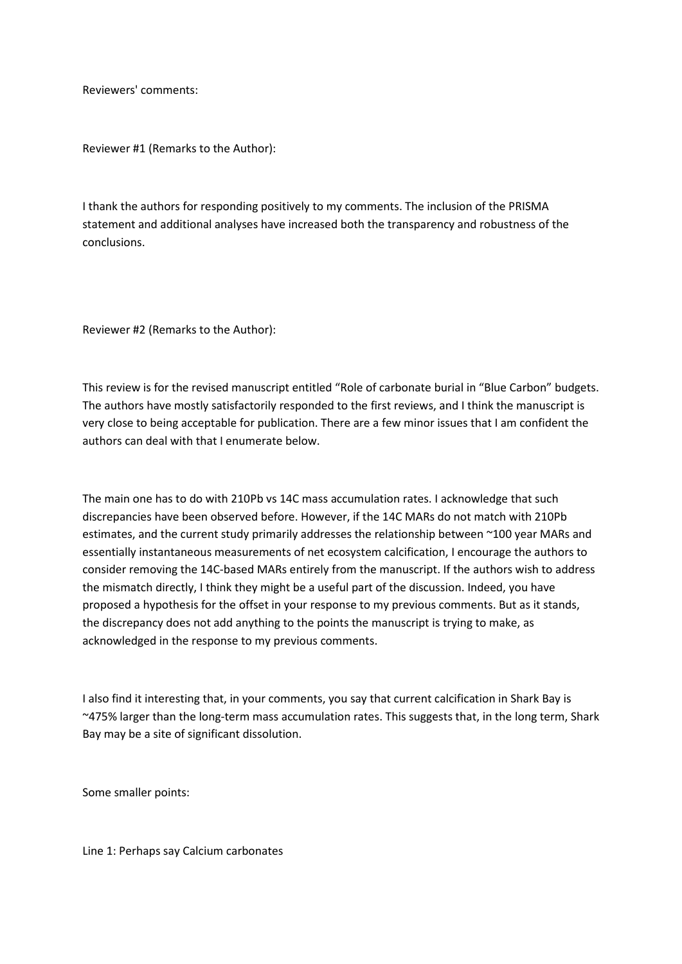Reviewers' comments:

Reviewer #1 (Remarks to the Author):

I thank the authors for responding positively to my comments. The inclusion of the PRISMA statement and additional analyses have increased both the transparency and robustness of the conclusions.

Reviewer #2 (Remarks to the Author):

This review is for the revised manuscript entitled "Role of carbonate burial in "Blue Carbon" budgets. The authors have mostly satisfactorily responded to the first reviews, and I think the manuscript is very close to being acceptable for publication. There are a few minor issues that I am confident the authors can deal with that I enumerate below.

The main one has to do with 210Pb vs 14C mass accumulation rates. I acknowledge that such discrepancies have been observed before. However, if the 14C MARs do not match with 210Pb estimates, and the current study primarily addresses the relationship between ~100 year MARs and essentially instantaneous measurements of net ecosystem calcification, I encourage the authors to consider removing the 14C-based MARs entirely from the manuscript. If the authors wish to address the mismatch directly, I think they might be a useful part of the discussion. Indeed, you have proposed a hypothesis for the offset in your response to my previous comments. But as it stands, the discrepancy does not add anything to the points the manuscript is trying to make, as acknowledged in the response to my previous comments.

I also find it interesting that, in your comments, you say that current calcification in Shark Bay is ~475% larger than the long-term mass accumulation rates. This suggests that, in the long term, Shark Bay may be a site of significant dissolution.

Some smaller points:

Line 1: Perhaps say Calcium carbonates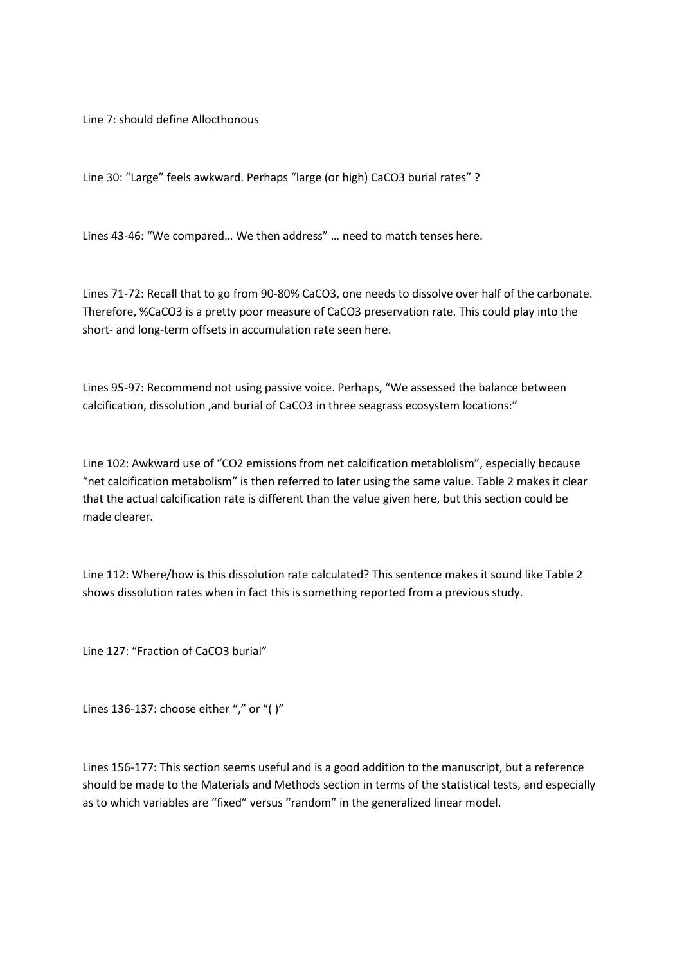Line 7: should define Allocthonous

Line 30: "Large" feels awkward. Perhaps "large (or high) CaCO3 burial rates" ?

Lines 43-46: "We compared… We then address" … need to match tenses here.

Lines 71-72: Recall that to go from 90-80% CaCO3, one needs to dissolve over half of the carbonate. Therefore, %CaCO3 is a pretty poor measure of CaCO3 preservation rate. This could play into the short- and long-term offsets in accumulation rate seen here.

Lines 95-97: Recommend not using passive voice. Perhaps, "We assessed the balance between calcification, dissolution ,and burial of CaCO3 in three seagrass ecosystem locations:"

Line 102: Awkward use of "CO2 emissions from net calcification metablolism", especially because "net calcification metabolism" is then referred to later using the same value. Table 2 makes it clear that the actual calcification rate is different than the value given here, but this section could be made clearer.

Line 112: Where/how is this dissolution rate calculated? This sentence makes it sound like Table 2 shows dissolution rates when in fact this is something reported from a previous study.

Line 127: "Fraction of CaCO3 burial"

Lines 136-137: choose either "," or "( )"

Lines 156-177: This section seems useful and is a good addition to the manuscript, but a reference should be made to the Materials and Methods section in terms of the statistical tests, and especially as to which variables are "fixed" versus "random" in the generalized linear model.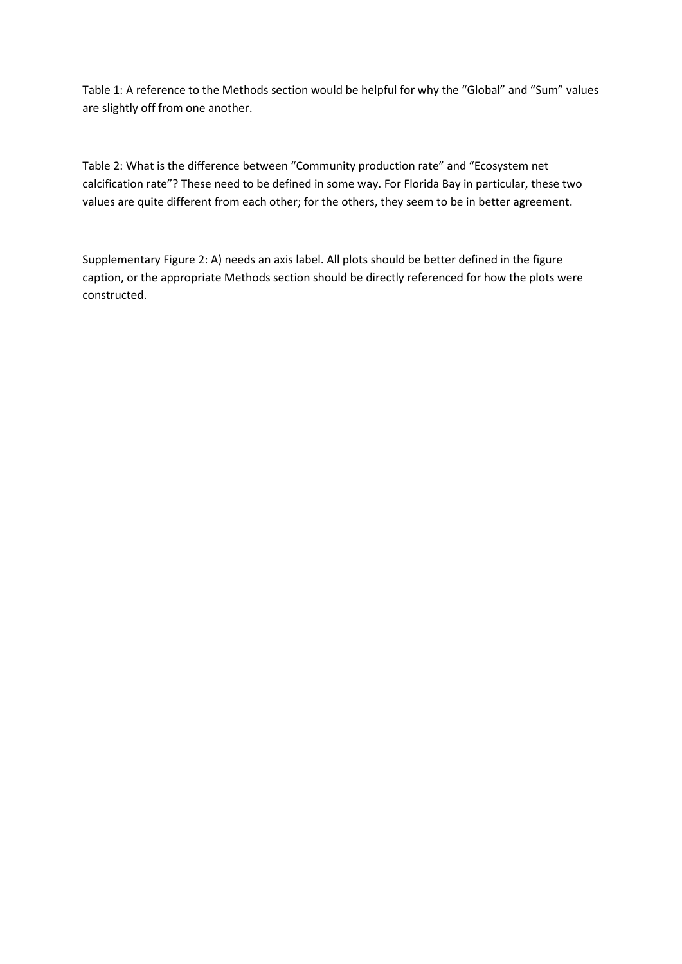Table 1: A reference to the Methods section would be helpful for why the "Global" and "Sum" values are slightly off from one another.

Table 2: What is the difference between "Community production rate" and "Ecosystem net calcification rate"? These need to be defined in some way. For Florida Bay in particular, these two values are quite different from each other; for the others, they seem to be in better agreement.

Supplementary Figure 2: A) needs an axis label. All plots should be better defined in the figure caption, or the appropriate Methods section should be directly referenced for how the plots were constructed.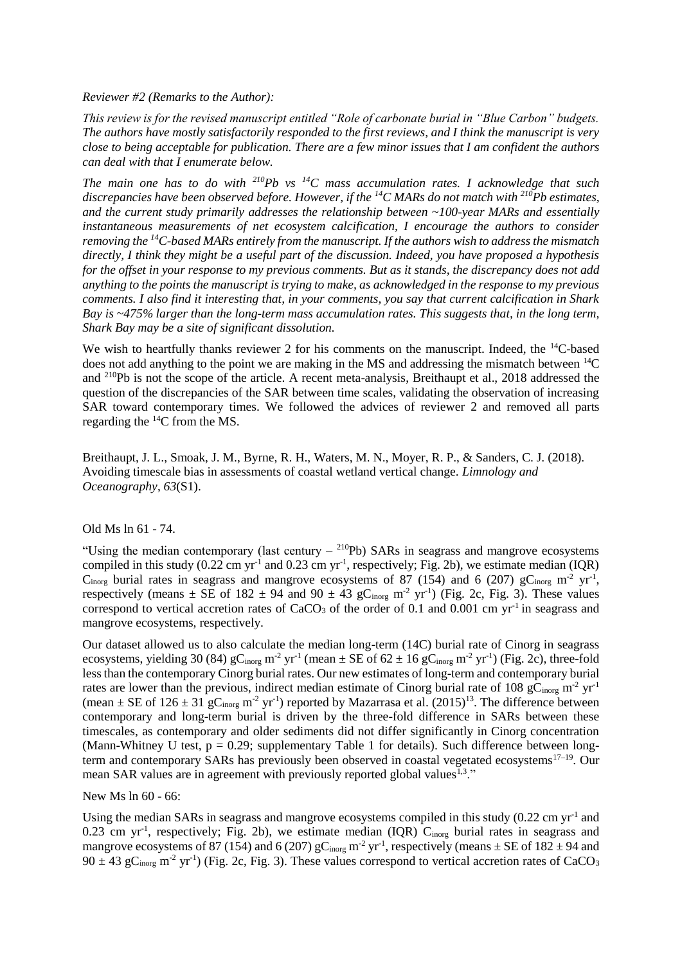*Reviewer #2 (Remarks to the Author):*

*This review is for the revised manuscript entitled "Role of carbonate burial in "Blue Carbon" budgets. The authors have mostly satisfactorily responded to the first reviews, and I think the manuscript is very close to being acceptable for publication. There are a few minor issues that I am confident the authors can deal with that I enumerate below.* 

*The main one has to do with <sup>210</sup>Pb vs <sup>14</sup>C mass accumulation rates. I acknowledge that such discrepancies have been observed before. However, if the <sup>14</sup>C MARs do not match with <sup>210</sup>Pb estimates, and the current study primarily addresses the relationship between ~100-year MARs and essentially instantaneous measurements of net ecosystem calcification, I encourage the authors to consider removing the <sup>14</sup>C-based MARs entirely from the manuscript. If the authors wish to address the mismatch directly, I think they might be a useful part of the discussion. Indeed, you have proposed a hypothesis for the offset in your response to my previous comments. But as it stands, the discrepancy does not add anything to the points the manuscript is trying to make, as acknowledged in the response to my previous comments. I also find it interesting that, in your comments, you say that current calcification in Shark Bay is ~475% larger than the long-term mass accumulation rates. This suggests that, in the long term, Shark Bay may be a site of significant dissolution.* 

We wish to heartfully thanks reviewer 2 for his comments on the manuscript. Indeed, the <sup>14</sup>C-based does not add anything to the point we are making in the MS and addressing the mismatch between  ${}^{14}C$ and <sup>210</sup>Pb is not the scope of the article. A recent meta-analysis, Breithaupt et al., 2018 addressed the question of the discrepancies of the SAR between time scales, validating the observation of increasing SAR toward contemporary times. We followed the advices of reviewer 2 and removed all parts regarding the <sup>14</sup>C from the MS.

Breithaupt, J. L., Smoak, J. M., Byrne, R. H., Waters, M. N., Moyer, R. P., & Sanders, C. J. (2018). Avoiding timescale bias in assessments of coastal wetland vertical change. *Limnology and Oceanography*, *63*(S1).

# Old Ms ln 61 - 74.

"Using the median contemporary (last century  $-$  <sup>210</sup>Pb) SARs in seagrass and mangrove ecosystems compiled in this study  $(0.22 \text{ cm yr}^{-1}$  and  $0.23 \text{ cm yr}^{-1}$ , respectively; Fig. 2b), we estimate median  $(IQR)$ C<sub>inorg</sub> burial rates in seagrass and mangrove ecosystems of 87 (154) and 6 (207)  $gC<sub>inorg</sub> m<sup>-2</sup> yr<sup>-1</sup>$ , respectively (means  $\pm$  SE of 182  $\pm$  94 and 90  $\pm$  43 gC<sub>inorg</sub> m<sup>-2</sup> yr<sup>-1</sup>) (Fig. 2c, Fig. 3). These values correspond to vertical accretion rates of  $CaCO<sub>3</sub>$  of the order of 0.1 and 0.001 cm yr<sup>-1</sup> in seagrass and mangrove ecosystems, respectively.

Our dataset allowed us to also calculate the median long-term (14C) burial rate of Cinorg in seagrass ecosystems, yielding 30 (84)  $gC<sub>inorg</sub> m<sup>-2</sup> yr<sup>-1</sup>$  (mean  $\pm$  SE of 62  $\pm$  16  $gC<sub>inorg</sub> m<sup>-2</sup> yr<sup>-1</sup>$ ) (Fig. 2c), three-fold less than the contemporary Cinorg burial rates. Our new estimates of long-term and contemporary burial rates are lower than the previous, indirect median estimate of Cinorg burial rate of 108  $gC<sub>inore</sub>$  m<sup>-2</sup> yr<sup>-1</sup> (mean  $\pm$  SE of 126  $\pm$  31 gC<sub>inorg</sub> m<sup>-2</sup> yr<sup>-1</sup>) reported by Mazarrasa et al. (2015)<sup>13</sup>. The difference between contemporary and long-term burial is driven by the three-fold difference in SARs between these timescales, as contemporary and older sediments did not differ significantly in Cinorg concentration (Mann-Whitney U test,  $p = 0.29$ ; supplementary Table 1 for details). Such difference between longterm and contemporary SARs has previously been observed in coastal vegetated ecosystems<sup>17–19</sup>. Our mean SAR values are in agreement with previously reported global values<sup>1,3</sup>."

New Ms ln 60 - 66:

Using the median SARs in seagrass and mangrove ecosystems compiled in this study  $(0.22 \text{ cm yr}^{-1})$  and  $0.23$  cm yr<sup>-1</sup>, respectively; Fig. 2b), we estimate median (IQR)  $C_{\text{inorg}}$  burial rates in seagrass and mangrove ecosystems of 87 (154) and 6 (207)  $gC<sub>inorg</sub> m<sup>-2</sup> yr<sup>-1</sup>$ , respectively (means  $\pm$  SE of 182  $\pm$  94 and  $90 \pm 43$  gC<sub>inorg</sub> m<sup>-2</sup> yr<sup>-1</sup>) (Fig. 2c, Fig. 3). These values correspond to vertical accretion rates of CaCO<sub>3</sub>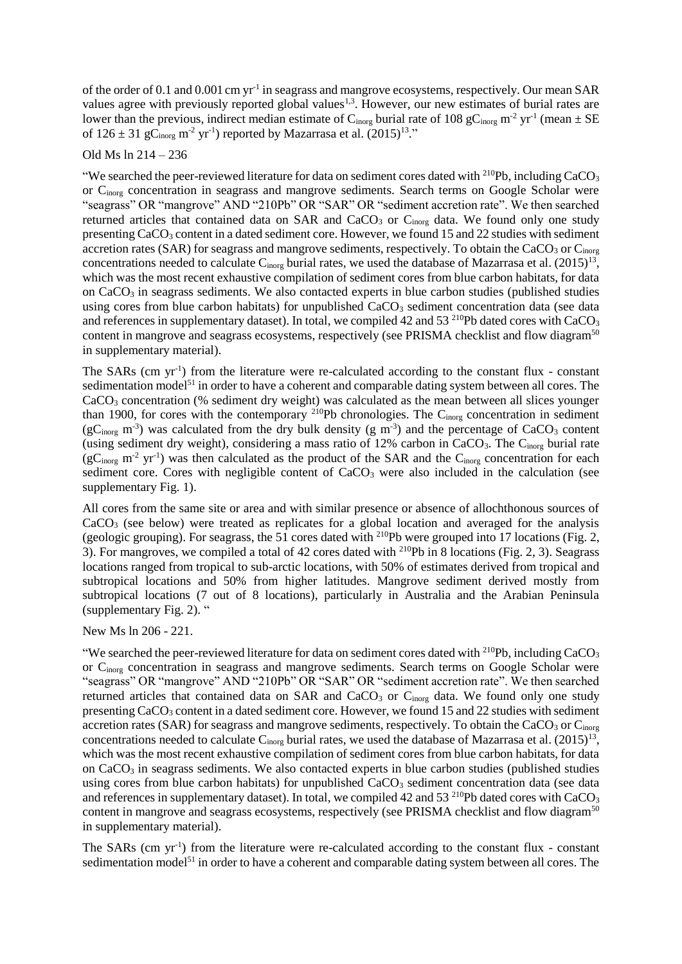of the order of 0.1 and 0.001 cm yr<sup>-1</sup> in seagrass and mangrove ecosystems, respectively. Our mean SAR values agree with previously reported global values<sup>1,3</sup>. However, our new estimates of burial rates are lower than the previous, indirect median estimate of C<sub>inorg</sub> burial rate of 108 gC<sub>inorg</sub> m<sup>-2</sup> yr<sup>-1</sup> (mean  $\pm$  SE of  $126 \pm 31$  gC<sub>inorg</sub> m<sup>-2</sup> yr<sup>-1</sup>) reported by Mazarrasa et al.  $(2015)^{13}$ ."

## Old Ms ln 214 – 236

"We searched the peer-reviewed literature for data on sediment cores dated with <sup>210</sup>Pb, including CaCO<sub>3</sub> or Cinorg concentration in seagrass and mangrove sediments. Search terms on Google Scholar were "seagrass" OR "mangrove" AND "210Pb" OR "SAR" OR "sediment accretion rate". We then searched returned articles that contained data on SAR and CaCO<sub>3</sub> or C<sub>inorg</sub> data. We found only one study presenting  $CaCO<sub>3</sub>$  content in a dated sediment core. However, we found 15 and 22 studies with sediment accretion rates (SAR) for seagrass and mangrove sediments, respectively. To obtain the CaCO<sub>3</sub> or C<sub>inorg</sub> concentrations needed to calculate  $C_{\text{inorg}}$  burial rates, we used the database of Mazarrasa et al. (2015)<sup>13</sup>, which was the most recent exhaustive compilation of sediment cores from blue carbon habitats, for data on CaCO<sup>3</sup> in seagrass sediments. We also contacted experts in blue carbon studies (published studies using cores from blue carbon habitats) for unpublished CaCO<sub>3</sub> sediment concentration data (see data and references in supplementary dataset). In total, we compiled 42 and 53<sup>210</sup>Pb dated cores with CaCO<sub>3</sub> content in mangrove and seagrass ecosystems, respectively (see PRISMA checklist and flow diagram<sup>50</sup> in supplementary material).

The SARs (cm  $yr^{-1}$ ) from the literature were re-calculated according to the constant flux - constant sedimentation model<sup>51</sup> in order to have a coherent and comparable dating system between all cores. The CaCO<sub>3</sub> concentration (% sediment dry weight) was calculated as the mean between all slices younger than 1900, for cores with the contemporary <sup>210</sup>Pb chronologies. The C<sub>inorg</sub> concentration in sediment  $(gC<sub>inorg</sub> m<sup>-3</sup>)$  was calculated from the dry bulk density  $(g m<sup>-3</sup>)$  and the percentage of CaCO<sub>3</sub> content (using sediment dry weight), considering a mass ratio of  $12\%$  carbon in CaCO<sub>3</sub>. The C<sub>inorg</sub> burial rate  $(gC<sub>inorg</sub> m<sup>-2</sup> yr<sup>-1</sup>)$  was then calculated as the product of the SAR and the  $C<sub>inorg</sub>$  concentration for each sediment core. Cores with negligible content of  $CaCO<sub>3</sub>$  were also included in the calculation (see supplementary Fig. 1).

All cores from the same site or area and with similar presence or absence of allochthonous sources of  $CaCO<sub>3</sub>$  (see below) were treated as replicates for a global location and averaged for the analysis (geologic grouping). For seagrass, the 51 cores dated with <sup>210</sup>Pb were grouped into 17 locations (Fig. 2, 3). For mangroves, we compiled a total of 42 cores dated with <sup>210</sup>Pb in 8 locations (Fig. 2, 3). Seagrass locations ranged from tropical to sub-arctic locations, with 50% of estimates derived from tropical and subtropical locations and 50% from higher latitudes. Mangrove sediment derived mostly from subtropical locations (7 out of 8 locations), particularly in Australia and the Arabian Peninsula (supplementary Fig. 2). "

New Ms ln 206 - 221.

"We searched the peer-reviewed literature for data on sediment cores dated with  $^{210}Pb$ , including CaCO<sub>3</sub> or Cinorg concentration in seagrass and mangrove sediments. Search terms on Google Scholar were "seagrass" OR "mangrove" AND "210Pb" OR "SAR" OR "sediment accretion rate". We then searched returned articles that contained data on SAR and CaCO<sub>3</sub> or C<sub>inorg</sub> data. We found only one study presenting CaCO<sub>3</sub> content in a dated sediment core. However, we found 15 and 22 studies with sediment accretion rates (SAR) for seagrass and mangrove sediments, respectively. To obtain the CaCO<sub>3</sub> or  $C_{\text{inore}}$ concentrations needed to calculate  $C_{\text{inorg}}$  burial rates, we used the database of Mazarrasa et al. (2015)<sup>13</sup>, which was the most recent exhaustive compilation of sediment cores from blue carbon habitats, for data on CaCO<sub>3</sub> in seagrass sediments. We also contacted experts in blue carbon studies (published studies using cores from blue carbon habitats) for unpublished  $CaCO<sub>3</sub>$  sediment concentration data (see data and references in supplementary dataset). In total, we compiled 42 and 53<sup>210</sup>Pb dated cores with CaCO<sub>3</sub> content in mangrove and seagrass ecosystems, respectively (see PRISMA checklist and flow diagram<sup>50</sup> in supplementary material).

The SARs (cm  $yr^{-1}$ ) from the literature were re-calculated according to the constant flux - constant sedimentation model<sup>51</sup> in order to have a coherent and comparable dating system between all cores. The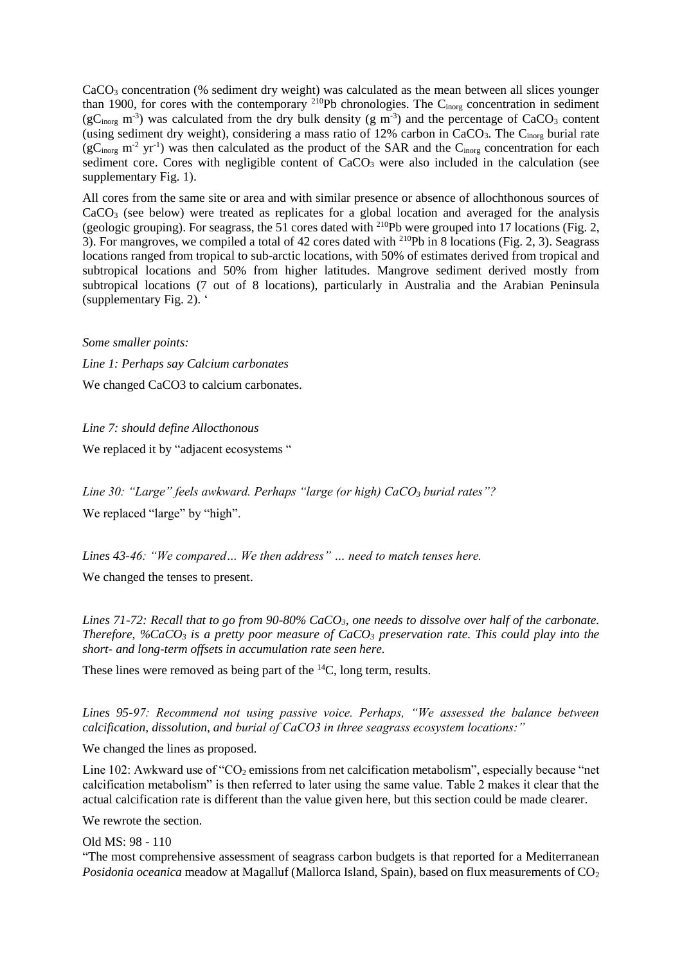$CaCO<sub>3</sub> concentration$  (% sediment dry weight) was calculated as the mean between all slices younger than 1900, for cores with the contemporary <sup>210</sup>Pb chronologies. The C<sub>inorg</sub> concentration in sediment ( $gC<sub>inorg</sub>$  m<sup>-3</sup>) was calculated from the dry bulk density ( $g$  m<sup>-3</sup>) and the percentage of CaCO<sub>3</sub> content (using sediment dry weight), considering a mass ratio of 12% carbon in  $CaCO<sub>3</sub>$ . The C<sub>inorg</sub> burial rate  $(gC<sub>inorg</sub> m<sup>-2</sup> yr<sup>-1</sup>)$  was then calculated as the product of the SAR and the  $C<sub>inorg</sub>$  concentration for each sediment core. Cores with negligible content of  $CaCO<sub>3</sub>$  were also included in the calculation (see supplementary Fig. 1).

All cores from the same site or area and with similar presence or absence of allochthonous sources of CaCO<sub>3</sub> (see below) were treated as replicates for a global location and averaged for the analysis (geologic grouping). For seagrass, the 51 cores dated with <sup>210</sup>Pb were grouped into 17 locations (Fig. 2, 3). For mangroves, we compiled a total of 42 cores dated with  $2^{10}Pb$  in 8 locations (Fig. 2, 3). Seagrass locations ranged from tropical to sub-arctic locations, with 50% of estimates derived from tropical and subtropical locations and 50% from higher latitudes. Mangrove sediment derived mostly from subtropical locations (7 out of 8 locations), particularly in Australia and the Arabian Peninsula (supplementary Fig. 2). '

*Some smaller points:* 

*Line 1: Perhaps say Calcium carbonates*  We changed CaCO<sub>3</sub> to calcium carbonates.

*Line 7: should define Allocthonous* We replaced it by "adjacent ecosystems "

*Line 30: "Large" feels awkward. Perhaps "large (or high) CaCO<sup>3</sup> burial rates"?*  We replaced "large" by "high".

*Lines 43-46: "We compared… We then address" … need to match tenses here.*  We changed the tenses to present.

*Lines 71-72: Recall that to go from 90-80% CaCO3, one needs to dissolve over half of the carbonate. Therefore, %CaCO<sup>3</sup> is a pretty poor measure of CaCO<sup>3</sup> preservation rate. This could play into the short- and long-term offsets in accumulation rate seen here.* 

These lines were removed as being part of the <sup>14</sup>C, long term, results.

*Lines 95-97: Recommend not using passive voice. Perhaps, "We assessed the balance between calcification, dissolution, and burial of CaCO3 in three seagrass ecosystem locations:"* 

We changed the lines as proposed.

Line 102: Awkward use of " $CO<sub>2</sub>$  emissions from net calcification metabolism", especially because "net calcification metabolism" is then referred to later using the same value. Table 2 makes it clear that the actual calcification rate is different than the value given here, but this section could be made clearer.

We rewrote the section.

Old MS: 98 - 110

"The most comprehensive assessment of seagrass carbon budgets is that reported for a Mediterranean *Posidonia oceanica* meadow at Magalluf (Mallorca Island, Spain), based on flux measurements of CO<sub>2</sub>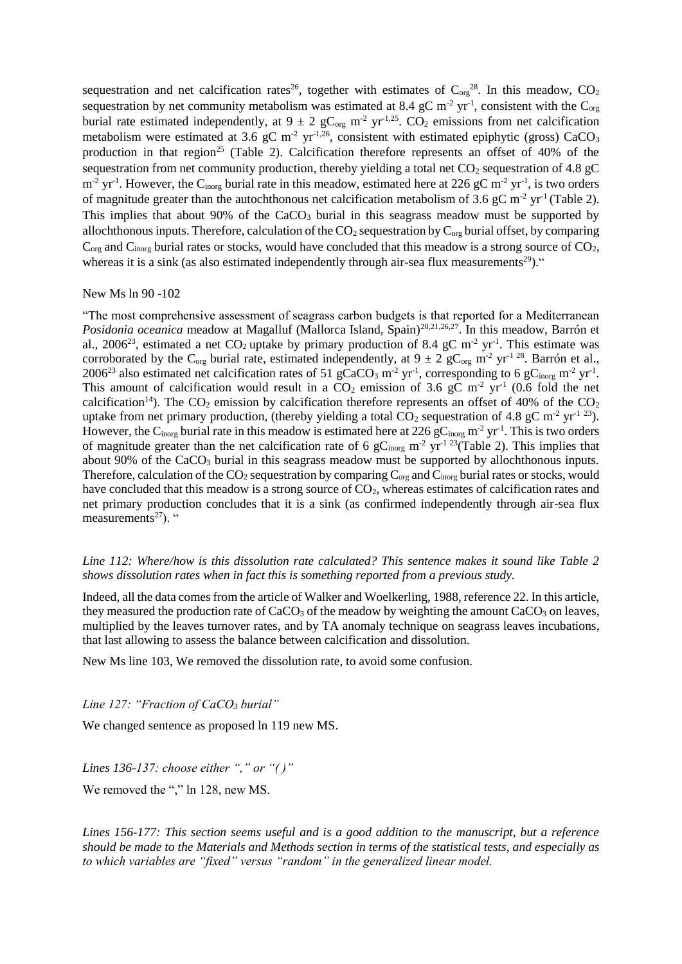sequestration and net calcification rates<sup>26</sup>, together with estimates of  $C_{org}^{28}$ . In this meadow,  $CO_2$ sequestration by net community metabolism was estimated at 8.4 gC m<sup>-2</sup> yr<sup>-1</sup>, consistent with the C<sub>org</sub> burial rate estimated independently, at  $9 \pm 2$  gC<sub>org</sub> m<sup>-2</sup> yr<sup>-1,25</sup>. CO<sub>2</sub> emissions from net calcification metabolism were estimated at 3.6 gC m<sup>-2</sup> yr<sup>-1,26</sup>, consistent with estimated epiphytic (gross) CaCO<sub>3</sub> production in that region<sup>25</sup> (Table 2). Calcification therefore represents an offset of 40% of the sequestration from net community production, thereby yielding a total net  $CO<sub>2</sub>$  sequestration of 4.8 gC  $m<sup>-2</sup>$  yr<sup>-1</sup>. However, the C<sub>inorg</sub> burial rate in this meadow, estimated here at 226 gC m<sup>-2</sup> yr<sup>-1</sup>, is two orders of magnitude greater than the autochthonous net calcification metabolism of 3.6 gC m<sup>-2</sup> yr<sup>-1</sup> (Table 2). This implies that about 90% of the  $CaCO<sub>3</sub>$  burial in this seagrass meadow must be supported by allochthonous inputs. Therefore, calculation of the  $CO_2$  sequestration by  $C_{org}$  burial offset, by comparing  $C_{\alpha r}$  and  $C_{\alpha r}$  burial rates or stocks, would have concluded that this meadow is a strong source of CO<sub>2</sub>, whereas it is a sink (as also estimated independently through air-sea flux measurements<sup>29</sup>)."

New Ms ln 90 -102

"The most comprehensive assessment of seagrass carbon budgets is that reported for a Mediterranean *Posidonia oceanica* meadow at Magalluf (Mallorca Island, Spain)<sup>20,21,26,27</sup>. In this meadow, Barrón et al., 2006<sup>23</sup>, estimated a net CO<sub>2</sub> uptake by primary production of 8.4 gC m<sup>-2</sup> yr<sup>-1</sup>. This estimate was corroborated by the C<sub>org</sub> burial rate, estimated independently, at  $9 \pm 2$  gC<sub>org</sub> m<sup>-2</sup> yr<sup>-1 28</sup>. Barrón et al., 2006<sup>23</sup> also estimated net calcification rates of 51 gCaCO<sub>3</sub> m<sup>-2</sup> yr<sup>-1</sup>, corresponding to 6 gC<sub>inorg</sub> m<sup>-2</sup> yr<sup>-1</sup>. This amount of calcification would result in a  $CO<sub>2</sub>$  emission of 3.6 gC m<sup>-2</sup> yr<sup>-1</sup> (0.6 fold the net calcification<sup>14</sup>). The  $CO_2$  emission by calcification therefore represents an offset of 40% of the  $CO_2$ uptake from net primary production, (thereby yielding a total  $CO_2$  sequestration of 4.8 gC m<sup>-2</sup> yr<sup>-1 23</sup>). However, the C<sub>inorg</sub> burial rate in this meadow is estimated here at 226 gC<sub>inorg</sub> m<sup>-2</sup> yr<sup>-1</sup>. This is two orders of magnitude greater than the net calcification rate of 6 gC<sub>inorg</sub> m<sup>-2</sup> yr<sup>-1 23</sup>(Table 2). This implies that about  $90\%$  of the CaCO<sub>3</sub> burial in this seagrass meadow must be supported by allochthonous inputs. Therefore, calculation of the  $CO_2$  sequestration by comparing  $C_{org}$  and  $C_{inorg}$  burial rates or stocks, would have concluded that this meadow is a strong source of  $CO<sub>2</sub>$ , whereas estimates of calcification rates and net primary production concludes that it is a sink (as confirmed independently through air-sea flux measurements<sup>27</sup>). "

*Line 112: Where/how is this dissolution rate calculated? This sentence makes it sound like Table 2 shows dissolution rates when in fact this is something reported from a previous study.* 

Indeed, all the data comes from the article of Walker and Woelkerling, 1988, reference 22. In this article, they measured the production rate of  $CaCO<sub>3</sub>$  of the meadow by weighting the amount  $CaCO<sub>3</sub>$  on leaves, multiplied by the leaves turnover rates, and by TA anomaly technique on seagrass leaves incubations, that last allowing to assess the balance between calcification and dissolution.

New Ms line 103, We removed the dissolution rate, to avoid some confusion.

*Line 127: "Fraction of CaCO<sup>3</sup> burial"*

We changed sentence as proposed ln 119 new MS.

*Lines 136-137: choose either "," or "( )"* 

We removed the "," ln 128, new MS.

*Lines 156-177: This section seems useful and is a good addition to the manuscript, but a reference should be made to the Materials and Methods section in terms of the statistical tests, and especially as to which variables are "fixed" versus "random" in the generalized linear model.*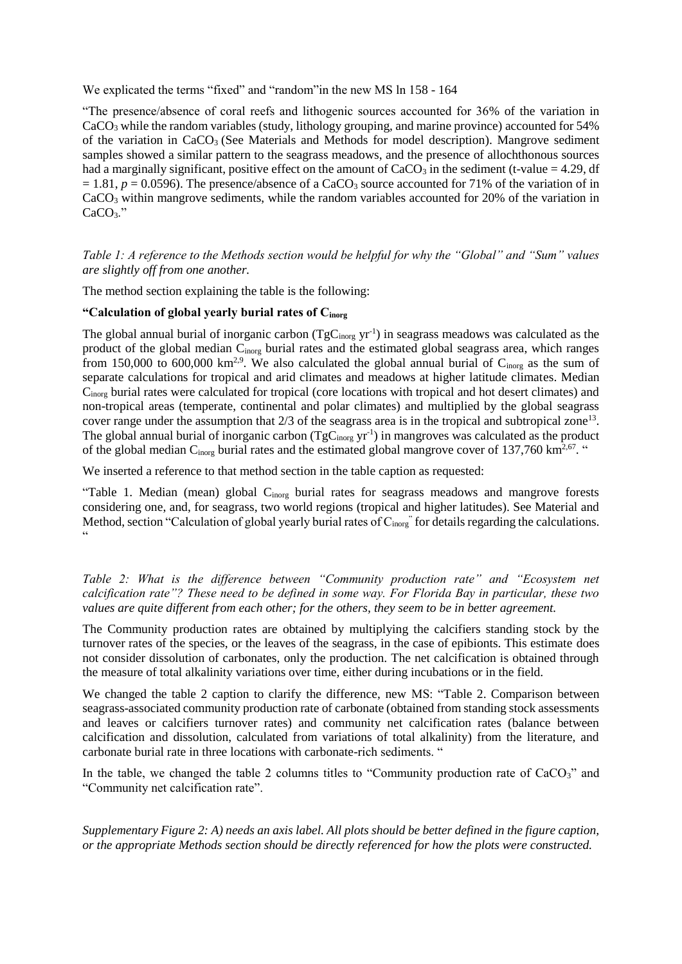We explicated the terms "fixed" and "random"in the new MS ln 158 - 164

"The presence/absence of coral reefs and lithogenic sources accounted for 36% of the variation in CaCO<sup>3</sup> while the random variables (study, lithology grouping, and marine province) accounted for 54% of the variation in  $CaCO<sub>3</sub>$  (See Materials and Methods for model description). Mangrove sediment samples showed a similar pattern to the seagrass meadows, and the presence of allochthonous sources had a marginally significant, positive effect on the amount of  $CaCO<sub>3</sub>$  in the sediment (t-value = 4.29, df  $= 1.81$ ,  $p = 0.0596$ ). The presence/absence of a CaCO<sub>3</sub> source accounted for 71% of the variation of in CaCO<sup>3</sup> within mangrove sediments, while the random variables accounted for 20% of the variation in CaCO<sub>3</sub>."

*Table 1: A reference to the Methods section would be helpful for why the "Global" and "Sum" values are slightly off from one another.* 

The method section explaining the table is the following:

# **"Calculation of global yearly burial rates of Cinorg**

The global annual burial of inorganic carbon  $(TgC<sub>inorg</sub> yr<sup>-1</sup>)$  in seagrass meadows was calculated as the product of the global median Cinorg burial rates and the estimated global seagrass area, which ranges from 150,000 to 600,000 km<sup>2,9</sup>. We also calculated the global annual burial of C<sub>inorg</sub> as the sum of separate calculations for tropical and arid climates and meadows at higher latitude climates. Median Cinorg burial rates were calculated for tropical (core locations with tropical and hot desert climates) and non-tropical areas (temperate, continental and polar climates) and multiplied by the global seagrass cover range under the assumption that  $2/3$  of the seagrass area is in the tropical and subtropical zone<sup>13</sup>. The global annual burial of inorganic carbon  $(TgC<sub>inorg</sub> yr<sup>-1</sup>)$  in mangroves was calculated as the product of the global median  $C_{\text{inorg}}$  burial rates and the estimated global mangrove cover of 137,760 km<sup>2,67</sup>.

We inserted a reference to that method section in the table caption as requested:

"Table 1. Median (mean) global C<sub>inorg</sub> burial rates for seagrass meadows and mangrove forests considering one, and, for seagrass, two world regions (tropical and higher latitudes). See Material and Method, section "Calculation of global yearly burial rates of  $C_{\text{inorg}}$ " for details regarding the calculations.  $\epsilon$ 

*Table 2: What is the difference between* "Community production rate" and "Ecosystem net *calcification rate"? These need to be defined in some way. For Florida Bay in particular, these two values are quite different from each other; for the others, they seem to be in better agreement.* 

The Community production rates are obtained by multiplying the calcifiers standing stock by the turnover rates of the species, or the leaves of the seagrass, in the case of epibionts. This estimate does not consider dissolution of carbonates, only the production. The net calcification is obtained through the measure of total alkalinity variations over time, either during incubations or in the field.

We changed the table 2 caption to clarify the difference, new MS: "Table 2. Comparison between seagrass-associated community production rate of carbonate (obtained from standing stock assessments and leaves or calcifiers turnover rates) and community net calcification rates (balance between calcification and dissolution, calculated from variations of total alkalinity) from the literature, and carbonate burial rate in three locations with carbonate-rich sediments. "

In the table, we changed the table 2 columns titles to "Community production rate of  $CaCO<sub>3</sub>$ " and "Community net calcification rate".

*Supplementary Figure 2: A) needs an axis label. All plots should be better defined in the figure caption, or the appropriate Methods section should be directly referenced for how the plots were constructed.*